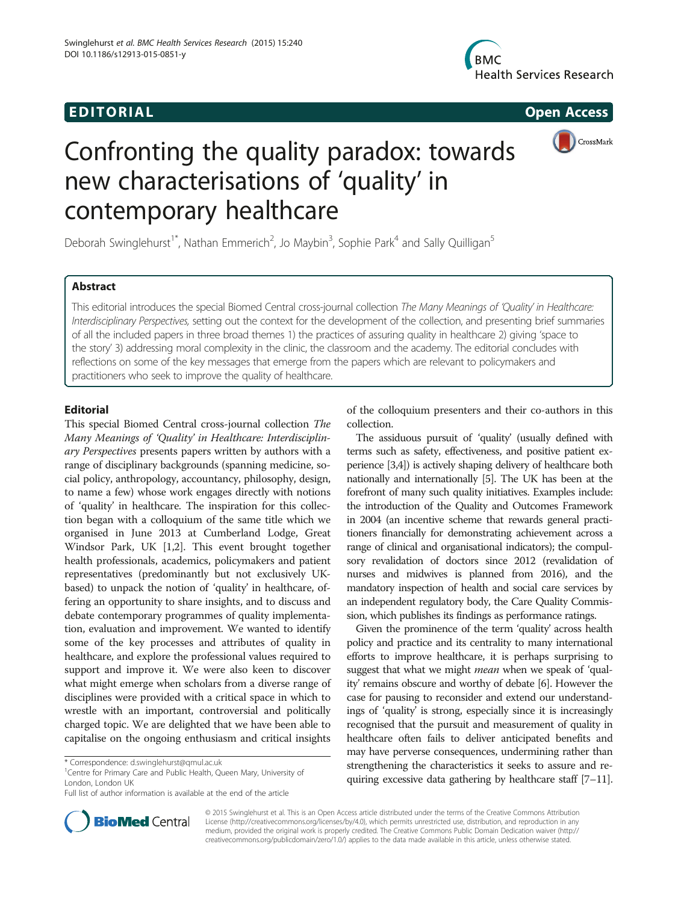# EDI TORIA L Open Access





# Confronting the quality paradox: towards new characterisations of 'quality' in contemporary healthcare

Deborah Swinglehurst<sup>1\*</sup>, Nathan Emmerich<sup>2</sup>, Jo Maybin<sup>3</sup>, Sophie Park<sup>4</sup> and Sally Quilligan<sup>5</sup>

# Abstract

This editorial introduces the special Biomed Central cross-journal collection The Many Meanings of 'Quality' in Healthcare: Interdisciplinary Perspectives, setting out the context for the development of the collection, and presenting brief summaries of all the included papers in three broad themes 1) the practices of assuring quality in healthcare 2) giving 'space to the story' 3) addressing moral complexity in the clinic, the classroom and the academy. The editorial concludes with reflections on some of the key messages that emerge from the papers which are relevant to policymakers and practitioners who seek to improve the quality of healthcare.

# Editorial

This special Biomed Central cross-journal collection The Many Meanings of 'Quality' in Healthcare: Interdisciplinary Perspectives presents papers written by authors with a range of disciplinary backgrounds (spanning medicine, social policy, anthropology, accountancy, philosophy, design, to name a few) whose work engages directly with notions of 'quality' in healthcare. The inspiration for this collection began with a colloquium of the same title which we organised in June 2013 at Cumberland Lodge, Great Windsor Park, UK [\[1,2](#page-4-0)]. This event brought together health professionals, academics, policymakers and patient representatives (predominantly but not exclusively UKbased) to unpack the notion of 'quality' in healthcare, offering an opportunity to share insights, and to discuss and debate contemporary programmes of quality implementation, evaluation and improvement. We wanted to identify some of the key processes and attributes of quality in healthcare, and explore the professional values required to support and improve it. We were also keen to discover what might emerge when scholars from a diverse range of disciplines were provided with a critical space in which to wrestle with an important, controversial and politically charged topic. We are delighted that we have been able to capitalise on the ongoing enthusiasm and critical insights

<sup>1</sup> Centre for Primary Care and Public Health, Queen Mary, University of London, London UK

of the colloquium presenters and their co-authors in this collection.

The assiduous pursuit of 'quality' (usually defined with terms such as safety, effectiveness, and positive patient experience [\[3,4](#page-4-0)]) is actively shaping delivery of healthcare both nationally and internationally [[5](#page-4-0)]. The UK has been at the forefront of many such quality initiatives. Examples include: the introduction of the Quality and Outcomes Framework in 2004 (an incentive scheme that rewards general practitioners financially for demonstrating achievement across a range of clinical and organisational indicators); the compulsory revalidation of doctors since 2012 (revalidation of nurses and midwives is planned from 2016), and the mandatory inspection of health and social care services by an independent regulatory body, the Care Quality Commission, which publishes its findings as performance ratings.

Given the prominence of the term 'quality' across health policy and practice and its centrality to many international efforts to improve healthcare, it is perhaps surprising to suggest that what we might *mean* when we speak of 'quality' remains obscure and worthy of debate [\[6](#page-4-0)]. However the case for pausing to reconsider and extend our understandings of 'quality' is strong, especially since it is increasingly recognised that the pursuit and measurement of quality in healthcare often fails to deliver anticipated benefits and may have perverse consequences, undermining rather than strengthening the characteristics it seeks to assure and requiring excessive data gathering by healthcare staff [[7](#page-4-0)–[11](#page-4-0)].



© 2015 Swinglehurst et al. This is an Open Access article distributed under the terms of the Creative Commons Attribution License (<http://creativecommons.org/licenses/by/4.0>), which permits unrestricted use, distribution, and reproduction in any medium, provided the original work is properly credited. The Creative Commons Public Domain Dedication waiver [\(http://](http://creativecommons.org/publicdomain/zero/1.0/) [creativecommons.org/publicdomain/zero/1.0/\)](http://creativecommons.org/publicdomain/zero/1.0/) applies to the data made available in this article, unless otherwise stated.

<sup>\*</sup> Correspondence: [d.swinglehurst@qmul.ac.uk](mailto:d.swinglehurst@qmul.ac.uk) <sup>1</sup>

Full list of author information is available at the end of the article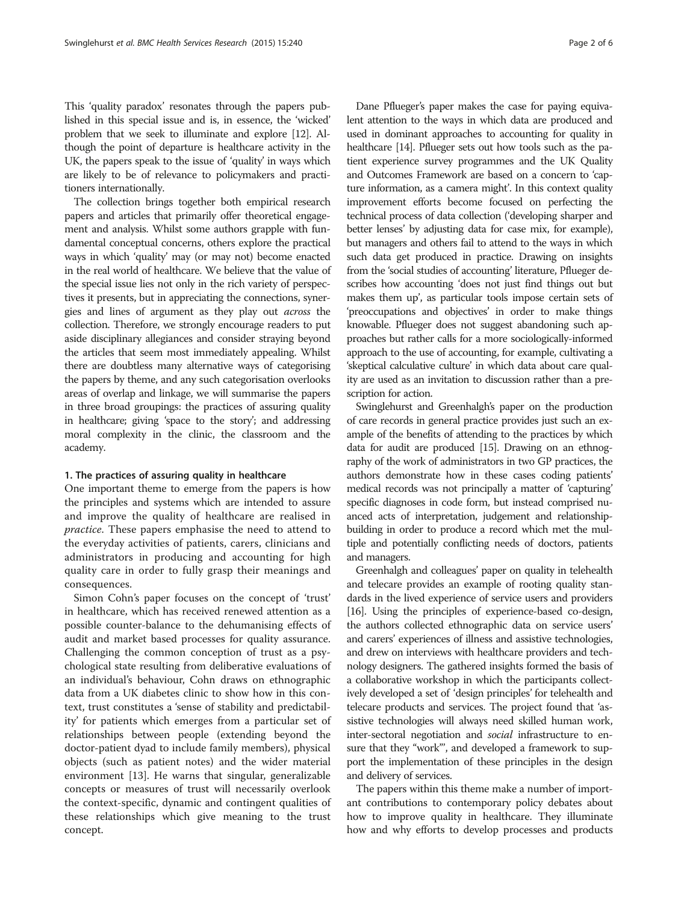This 'quality paradox' resonates through the papers published in this special issue and is, in essence, the 'wicked' problem that we seek to illuminate and explore [\[12\]](#page-4-0). Although the point of departure is healthcare activity in the UK, the papers speak to the issue of 'quality' in ways which are likely to be of relevance to policymakers and practitioners internationally.

The collection brings together both empirical research papers and articles that primarily offer theoretical engagement and analysis. Whilst some authors grapple with fundamental conceptual concerns, others explore the practical ways in which 'quality' may (or may not) become enacted in the real world of healthcare. We believe that the value of the special issue lies not only in the rich variety of perspectives it presents, but in appreciating the connections, synergies and lines of argument as they play out across the collection. Therefore, we strongly encourage readers to put aside disciplinary allegiances and consider straying beyond the articles that seem most immediately appealing. Whilst there are doubtless many alternative ways of categorising the papers by theme, and any such categorisation overlooks areas of overlap and linkage, we will summarise the papers in three broad groupings: the practices of assuring quality in healthcare; giving 'space to the story'; and addressing moral complexity in the clinic, the classroom and the academy.

#### 1. The practices of assuring quality in healthcare

One important theme to emerge from the papers is how the principles and systems which are intended to assure and improve the quality of healthcare are realised in practice. These papers emphasise the need to attend to the everyday activities of patients, carers, clinicians and administrators in producing and accounting for high quality care in order to fully grasp their meanings and consequences.

Simon Cohn's paper focuses on the concept of 'trust' in healthcare, which has received renewed attention as a possible counter-balance to the dehumanising effects of audit and market based processes for quality assurance. Challenging the common conception of trust as a psychological state resulting from deliberative evaluations of an individual's behaviour, Cohn draws on ethnographic data from a UK diabetes clinic to show how in this context, trust constitutes a 'sense of stability and predictability' for patients which emerges from a particular set of relationships between people (extending beyond the doctor-patient dyad to include family members), physical objects (such as patient notes) and the wider material environment [\[13\]](#page-4-0). He warns that singular, generalizable concepts or measures of trust will necessarily overlook the context-specific, dynamic and contingent qualities of these relationships which give meaning to the trust concept.

Dane Pflueger's paper makes the case for paying equivalent attention to the ways in which data are produced and used in dominant approaches to accounting for quality in healthcare [\[14\]](#page-4-0). Pflueger sets out how tools such as the patient experience survey programmes and the UK Quality and Outcomes Framework are based on a concern to 'capture information, as a camera might'. In this context quality improvement efforts become focused on perfecting the technical process of data collection ('developing sharper and better lenses' by adjusting data for case mix, for example), but managers and others fail to attend to the ways in which such data get produced in practice. Drawing on insights from the 'social studies of accounting' literature, Pflueger describes how accounting 'does not just find things out but makes them up', as particular tools impose certain sets of 'preoccupations and objectives' in order to make things knowable. Pflueger does not suggest abandoning such approaches but rather calls for a more sociologically-informed approach to the use of accounting, for example, cultivating a 'skeptical calculative culture' in which data about care quality are used as an invitation to discussion rather than a prescription for action.

Swinglehurst and Greenhalgh's paper on the production of care records in general practice provides just such an example of the benefits of attending to the practices by which data for audit are produced [\[15\]](#page-4-0). Drawing on an ethnography of the work of administrators in two GP practices, the authors demonstrate how in these cases coding patients' medical records was not principally a matter of 'capturing' specific diagnoses in code form, but instead comprised nuanced acts of interpretation, judgement and relationshipbuilding in order to produce a record which met the multiple and potentially conflicting needs of doctors, patients and managers.

Greenhalgh and colleagues' paper on quality in telehealth and telecare provides an example of rooting quality standards in the lived experience of service users and providers [[16](#page-4-0)]. Using the principles of experience-based co-design, the authors collected ethnographic data on service users' and carers' experiences of illness and assistive technologies, and drew on interviews with healthcare providers and technology designers. The gathered insights formed the basis of a collaborative workshop in which the participants collectively developed a set of 'design principles' for telehealth and telecare products and services. The project found that 'assistive technologies will always need skilled human work, inter-sectoral negotiation and social infrastructure to ensure that they "work"', and developed a framework to support the implementation of these principles in the design and delivery of services.

The papers within this theme make a number of important contributions to contemporary policy debates about how to improve quality in healthcare. They illuminate how and why efforts to develop processes and products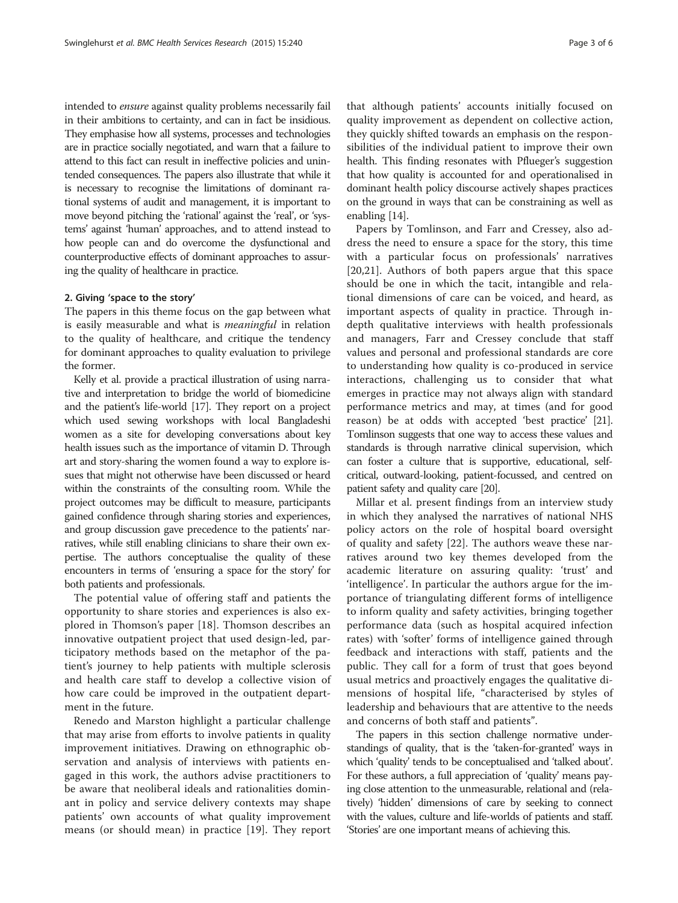intended to ensure against quality problems necessarily fail in their ambitions to certainty, and can in fact be insidious. They emphasise how all systems, processes and technologies are in practice socially negotiated, and warn that a failure to attend to this fact can result in ineffective policies and unintended consequences. The papers also illustrate that while it is necessary to recognise the limitations of dominant rational systems of audit and management, it is important to move beyond pitching the 'rational' against the 'real', or 'systems' against 'human' approaches, and to attend instead to how people can and do overcome the dysfunctional and counterproductive effects of dominant approaches to assuring the quality of healthcare in practice.

## 2. Giving 'space to the story'

The papers in this theme focus on the gap between what is easily measurable and what is meaningful in relation to the quality of healthcare, and critique the tendency for dominant approaches to quality evaluation to privilege the former.

Kelly et al. provide a practical illustration of using narrative and interpretation to bridge the world of biomedicine and the patient's life-world [\[17\]](#page-4-0). They report on a project which used sewing workshops with local Bangladeshi women as a site for developing conversations about key health issues such as the importance of vitamin D. Through art and story-sharing the women found a way to explore issues that might not otherwise have been discussed or heard within the constraints of the consulting room. While the project outcomes may be difficult to measure, participants gained confidence through sharing stories and experiences, and group discussion gave precedence to the patients' narratives, while still enabling clinicians to share their own expertise. The authors conceptualise the quality of these encounters in terms of 'ensuring a space for the story' for both patients and professionals.

The potential value of offering staff and patients the opportunity to share stories and experiences is also explored in Thomson's paper [[18\]](#page-4-0). Thomson describes an innovative outpatient project that used design-led, participatory methods based on the metaphor of the patient's journey to help patients with multiple sclerosis and health care staff to develop a collective vision of how care could be improved in the outpatient department in the future.

Renedo and Marston highlight a particular challenge that may arise from efforts to involve patients in quality improvement initiatives. Drawing on ethnographic observation and analysis of interviews with patients engaged in this work, the authors advise practitioners to be aware that neoliberal ideals and rationalities dominant in policy and service delivery contexts may shape patients' own accounts of what quality improvement means (or should mean) in practice [[19\]](#page-4-0). They report that although patients' accounts initially focused on quality improvement as dependent on collective action, they quickly shifted towards an emphasis on the responsibilities of the individual patient to improve their own health. This finding resonates with Pflueger's suggestion that how quality is accounted for and operationalised in dominant health policy discourse actively shapes practices on the ground in ways that can be constraining as well as enabling [\[14\]](#page-4-0).

Papers by Tomlinson, and Farr and Cressey, also address the need to ensure a space for the story, this time with a particular focus on professionals' narratives [[20,21](#page-4-0)]. Authors of both papers argue that this space should be one in which the tacit, intangible and relational dimensions of care can be voiced, and heard, as important aspects of quality in practice. Through indepth qualitative interviews with health professionals and managers, Farr and Cressey conclude that staff values and personal and professional standards are core to understanding how quality is co-produced in service interactions, challenging us to consider that what emerges in practice may not always align with standard performance metrics and may, at times (and for good reason) be at odds with accepted 'best practice' [\[21\]](#page-4-0). Tomlinson suggests that one way to access these values and standards is through narrative clinical supervision, which can foster a culture that is supportive, educational, selfcritical, outward-looking, patient-focussed, and centred on patient safety and quality care [\[20](#page-4-0)].

Millar et al. present findings from an interview study in which they analysed the narratives of national NHS policy actors on the role of hospital board oversight of quality and safety [[22\]](#page-4-0). The authors weave these narratives around two key themes developed from the academic literature on assuring quality: 'trust' and 'intelligence'. In particular the authors argue for the importance of triangulating different forms of intelligence to inform quality and safety activities, bringing together performance data (such as hospital acquired infection rates) with 'softer' forms of intelligence gained through feedback and interactions with staff, patients and the public. They call for a form of trust that goes beyond usual metrics and proactively engages the qualitative dimensions of hospital life, "characterised by styles of leadership and behaviours that are attentive to the needs and concerns of both staff and patients".

The papers in this section challenge normative understandings of quality, that is the 'taken-for-granted' ways in which 'quality' tends to be conceptualised and 'talked about'. For these authors, a full appreciation of 'quality' means paying close attention to the unmeasurable, relational and (relatively) 'hidden' dimensions of care by seeking to connect with the values, culture and life-worlds of patients and staff. 'Stories' are one important means of achieving this.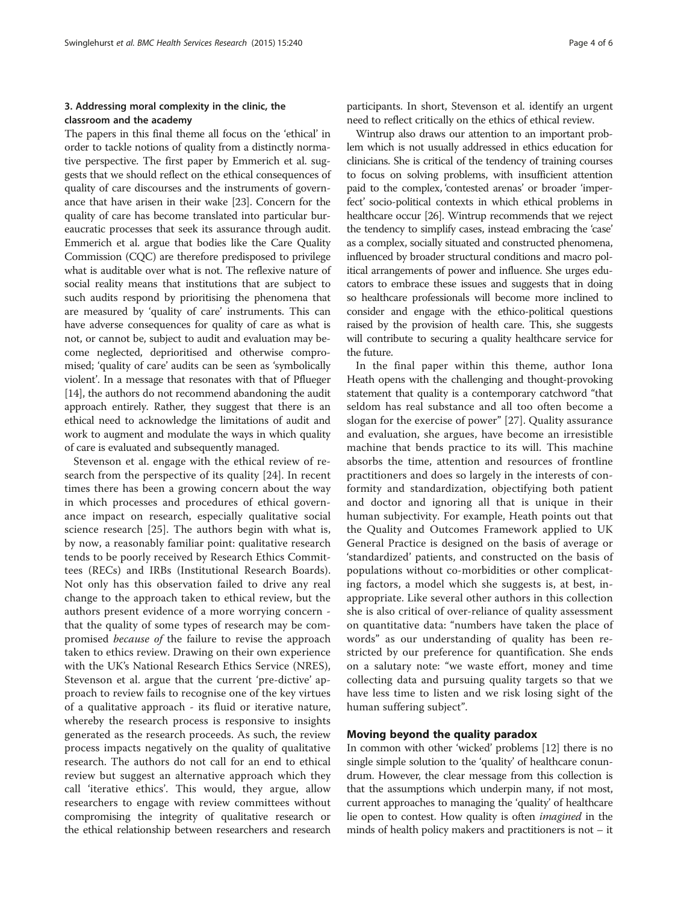# 3. Addressing moral complexity in the clinic, the classroom and the academy

The papers in this final theme all focus on the 'ethical' in order to tackle notions of quality from a distinctly normative perspective. The first paper by Emmerich et al. suggests that we should reflect on the ethical consequences of quality of care discourses and the instruments of governance that have arisen in their wake [[23](#page-5-0)]. Concern for the quality of care has become translated into particular bureaucratic processes that seek its assurance through audit. Emmerich et al. argue that bodies like the Care Quality Commission (CQC) are therefore predisposed to privilege what is auditable over what is not. The reflexive nature of social reality means that institutions that are subject to such audits respond by prioritising the phenomena that are measured by 'quality of care' instruments. This can have adverse consequences for quality of care as what is not, or cannot be, subject to audit and evaluation may become neglected, deprioritised and otherwise compromised; 'quality of care' audits can be seen as 'symbolically violent'. In a message that resonates with that of Pflueger [[14](#page-4-0)], the authors do not recommend abandoning the audit approach entirely. Rather, they suggest that there is an ethical need to acknowledge the limitations of audit and work to augment and modulate the ways in which quality of care is evaluated and subsequently managed.

Stevenson et al. engage with the ethical review of research from the perspective of its quality [[24](#page-5-0)]. In recent times there has been a growing concern about the way in which processes and procedures of ethical governance impact on research, especially qualitative social science research [[25\]](#page-5-0). The authors begin with what is, by now, a reasonably familiar point: qualitative research tends to be poorly received by Research Ethics Committees (RECs) and IRBs (Institutional Research Boards). Not only has this observation failed to drive any real change to the approach taken to ethical review, but the authors present evidence of a more worrying concern that the quality of some types of research may be compromised because of the failure to revise the approach taken to ethics review. Drawing on their own experience with the UK's National Research Ethics Service (NRES), Stevenson et al. argue that the current 'pre-dictive' approach to review fails to recognise one of the key virtues of a qualitative approach - its fluid or iterative nature, whereby the research process is responsive to insights generated as the research proceeds. As such, the review process impacts negatively on the quality of qualitative research. The authors do not call for an end to ethical review but suggest an alternative approach which they call 'iterative ethics'. This would, they argue, allow researchers to engage with review committees without compromising the integrity of qualitative research or the ethical relationship between researchers and research participants. In short, Stevenson et al. identify an urgent need to reflect critically on the ethics of ethical review.

Wintrup also draws our attention to an important problem which is not usually addressed in ethics education for clinicians. She is critical of the tendency of training courses to focus on solving problems, with insufficient attention paid to the complex, 'contested arenas' or broader 'imperfect' socio-political contexts in which ethical problems in healthcare occur [\[26](#page-5-0)]. Wintrup recommends that we reject the tendency to simplify cases, instead embracing the 'case' as a complex, socially situated and constructed phenomena, influenced by broader structural conditions and macro political arrangements of power and influence. She urges educators to embrace these issues and suggests that in doing so healthcare professionals will become more inclined to consider and engage with the ethico-political questions raised by the provision of health care. This, she suggests will contribute to securing a quality healthcare service for the future.

In the final paper within this theme, author Iona Heath opens with the challenging and thought-provoking statement that quality is a contemporary catchword "that seldom has real substance and all too often become a slogan for the exercise of power" [[27](#page-5-0)]. Quality assurance and evaluation, she argues, have become an irresistible machine that bends practice to its will. This machine absorbs the time, attention and resources of frontline practitioners and does so largely in the interests of conformity and standardization, objectifying both patient and doctor and ignoring all that is unique in their human subjectivity. For example, Heath points out that the Quality and Outcomes Framework applied to UK General Practice is designed on the basis of average or 'standardized' patients, and constructed on the basis of populations without co-morbidities or other complicating factors, a model which she suggests is, at best, inappropriate. Like several other authors in this collection she is also critical of over-reliance of quality assessment on quantitative data: "numbers have taken the place of words" as our understanding of quality has been restricted by our preference for quantification. She ends on a salutary note: "we waste effort, money and time collecting data and pursuing quality targets so that we have less time to listen and we risk losing sight of the human suffering subject".

# Moving beyond the quality paradox

In common with other 'wicked' problems [\[12\]](#page-4-0) there is no single simple solution to the 'quality' of healthcare conundrum. However, the clear message from this collection is that the assumptions which underpin many, if not most, current approaches to managing the 'quality' of healthcare lie open to contest. How quality is often imagined in the minds of health policy makers and practitioners is not – it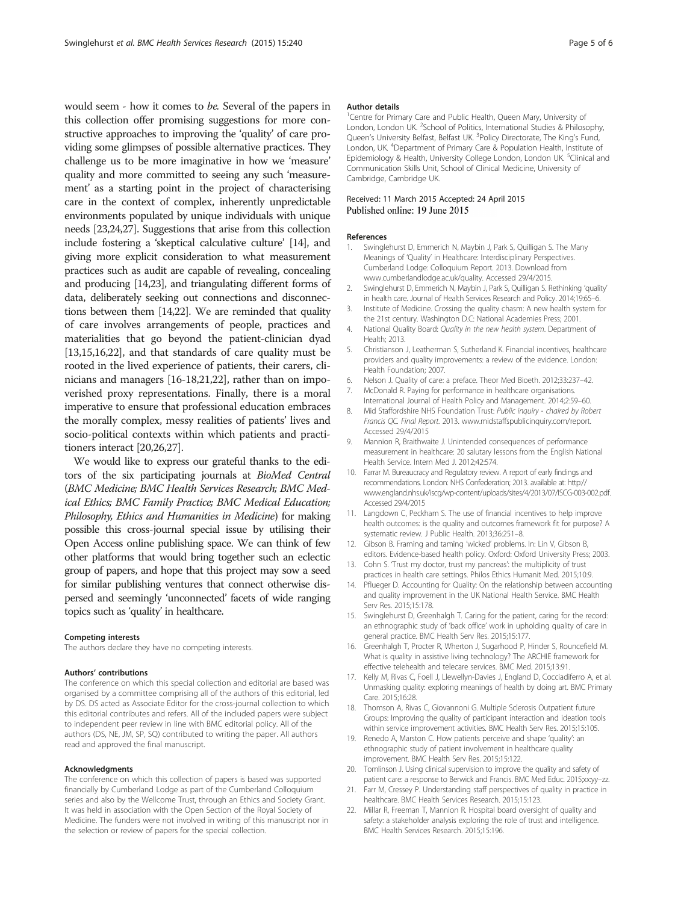<span id="page-4-0"></span>would seem - how it comes to be. Several of the papers in this collection offer promising suggestions for more constructive approaches to improving the 'quality' of care providing some glimpses of possible alternative practices. They challenge us to be more imaginative in how we 'measure' quality and more committed to seeing any such 'measurement' as a starting point in the project of characterising care in the context of complex, inherently unpredictable environments populated by unique individuals with unique needs [\[23,24,27](#page-5-0)]. Suggestions that arise from this collection include fostering a 'skeptical calculative culture' [14], and giving more explicit consideration to what measurement practices such as audit are capable of revealing, concealing and producing [14[,23\]](#page-5-0), and triangulating different forms of data, deliberately seeking out connections and disconnections between them [14,22]. We are reminded that quality of care involves arrangements of people, practices and materialities that go beyond the patient-clinician dyad [13,15,16,22], and that standards of care quality must be rooted in the lived experience of patients, their carers, clinicians and managers [16-18,21,22], rather than on impoverished proxy representations. Finally, there is a moral imperative to ensure that professional education embraces the morally complex, messy realities of patients' lives and socio-political contexts within which patients and practitioners interact [20,[26,27](#page-5-0)].

We would like to express our grateful thanks to the editors of the six participating journals at BioMed Central (BMC Medicine; BMC Health Services Research; BMC Medical Ethics; BMC Family Practice; BMC Medical Education; Philosophy, Ethics and Humanities in Medicine) for making possible this cross-journal special issue by utilising their Open Access online publishing space. We can think of few other platforms that would bring together such an eclectic group of papers, and hope that this project may sow a seed for similar publishing ventures that connect otherwise dispersed and seemingly 'unconnected' facets of wide ranging topics such as 'quality' in healthcare.

#### Competing interests

The authors declare they have no competing interests.

#### Authors' contributions

The conference on which this special collection and editorial are based was organised by a committee comprising all of the authors of this editorial, led by DS. DS acted as Associate Editor for the cross-journal collection to which this editorial contributes and refers. All of the included papers were subject to independent peer review in line with BMC editorial policy. All of the authors (DS, NE, JM, SP, SQ) contributed to writing the paper. All authors read and approved the final manuscript.

#### Acknowledgments

The conference on which this collection of papers is based was supported financially by Cumberland Lodge as part of the Cumberland Colloquium series and also by the Wellcome Trust, through an Ethics and Society Grant. It was held in association with the Open Section of the Royal Society of Medicine. The funders were not involved in writing of this manuscript nor in the selection or review of papers for the special collection.

#### Author details

<sup>1</sup> Centre for Primary Care and Public Health, Queen Mary, University of London, London UK. <sup>2</sup>School of Politics, International Studies & Philosophy Queen's University Belfast, Belfast UK. <sup>3</sup>Policy Directorate, The King's Fund, London, UK. <sup>4</sup>Department of Primary Care & Population Health, Institute of Epidemiology & Health, University College London, London UK. <sup>5</sup>Clinical and Communication Skills Unit, School of Clinical Medicine, University of Cambridge, Cambridge UK.

## Received: 11 March 2015 Accepted: 24 April 2015 Published online: 19 June 2015

#### References

- 1. Swinglehurst D, Emmerich N, Maybin J, Park S, Quilligan S. The Many Meanings of 'Quality' in Healthcare: Interdisciplinary Perspectives. Cumberland Lodge: Colloquium Report. 2013. Download from [www.cumberlandlodge.ac.uk/quality.](http://www.cumberlandlodge.ac.uk/quality) Accessed 29/4/2015.
- 2. Swinglehurst D, Emmerich N, Maybin J, Park S, Quilligan S. Rethinking 'quality' in health care. Journal of Health Services Research and Policy. 2014;19:65–6.
- 3. Institute of Medicine. Crossing the quality chasm: A new health system for the 21st century. Washington D.C: National Academies Press; 2001.
- 4. National Quality Board: Quality in the new health system. Department of Health; 2013.
- 5. Christianson J, Leatherman S, Sutherland K. Financial incentives, healthcare providers and quality improvements: a review of the evidence. London: Health Foundation; 2007.
- 6. Nelson J. Quality of care: a preface. Theor Med Bioeth. 2012;33:237–42. 7. McDonald R. Paying for performance in healthcare organisations.
- International Journal of Health Policy and Management. 2014;2:59–60. 8. Mid Staffordshire NHS Foundation Trust: Public inquiry - chaired by Robert Francis QC. Final Report. 2013. [www.midstaffspublicinquiry.com/report](http://www.midstaffspublicinquiry.com/report). Accessed 29/4/2015
- 9. Mannion R, Braithwaite J. Unintended consequences of performance measurement in healthcare: 20 salutary lessons from the English National Health Service. Intern Med J. 2012;42:574.
- 10. Farrar M. Bureaucracy and Regulatory review. A report of early findings and recommendations. London: NHS Confederation; 2013. available at: [http://](http://www.england.nhs.uk/iscg/wp-content/uploads/sites/4/2013/07/ISCG-003-002.pdf) [www.england.nhs.uk/iscg/wp-content/uploads/sites/4/2013/07/ISCG-003-002.pdf.](http://www.england.nhs.uk/iscg/wp-content/uploads/sites/4/2013/07/ISCG-003-002.pdf) Accessed 29/4/2015
- 11. Langdown C, Peckham S. The use of financial incentives to help improve health outcomes: is the quality and outcomes framework fit for purpose? A systematic review. J Public Health. 2013;36:251–8.
- 12. Gibson B. Framing and taming 'wicked' problems. In: Lin V, Gibson B, editors. Evidence-based health policy. Oxford: Oxford University Press; 2003.
- 13. Cohn S. 'Trust my doctor, trust my pancreas': the multiplicity of trust practices in health care settings. Philos Ethics Humanit Med. 2015;10:9.
- 14. Pflueger D. Accounting for Quality: On the relationship between accounting and quality improvement in the UK National Health Service. BMC Health Serv Res. 2015;15:178.
- 15. Swinglehurst D, Greenhalgh T. Caring for the patient, caring for the record: an ethnographic study of 'back office' work in upholding quality of care in general practice. BMC Health Serv Res. 2015;15:177.
- 16. Greenhalgh T, Procter R, Wherton J, Sugarhood P, Hinder S, Rouncefield M. What is quality in assistive living technology? The ARCHIE framework for effective telehealth and telecare services. BMC Med. 2015;13:91.
- 17. Kelly M, Rivas C, Foell J, Llewellyn-Davies J, England D, Cocciadiferro A, et al. Unmasking quality: exploring meanings of health by doing art. BMC Primary Care. 2015;16:28.
- 18. Thomson A, Rivas C, Giovannoni G. Multiple Sclerosis Outpatient future Groups: Improving the quality of participant interaction and ideation tools within service improvement activities. BMC Health Serv Res. 2015;15:105.
- 19. Renedo A, Marston C. How patients perceive and shape 'quality': an ethnographic study of patient involvement in healthcare quality improvement. BMC Health Serv Res. 2015;15:122.
- 20. Tomlinson J. Using clinical supervision to improve the quality and safety of patient care: a response to Berwick and Francis. BMC Med Educ. 2015;xx:yy-zz.
- 21. Farr M, Cressey P. Understanding staff perspectives of quality in practice in healthcare. BMC Health Services Research. 2015;15:123.
- 22. Millar R, Freeman T, Mannion R. Hospital board oversight of quality and safety: a stakeholder analysis exploring the role of trust and intelligence. BMC Health Services Research. 2015;15:196.